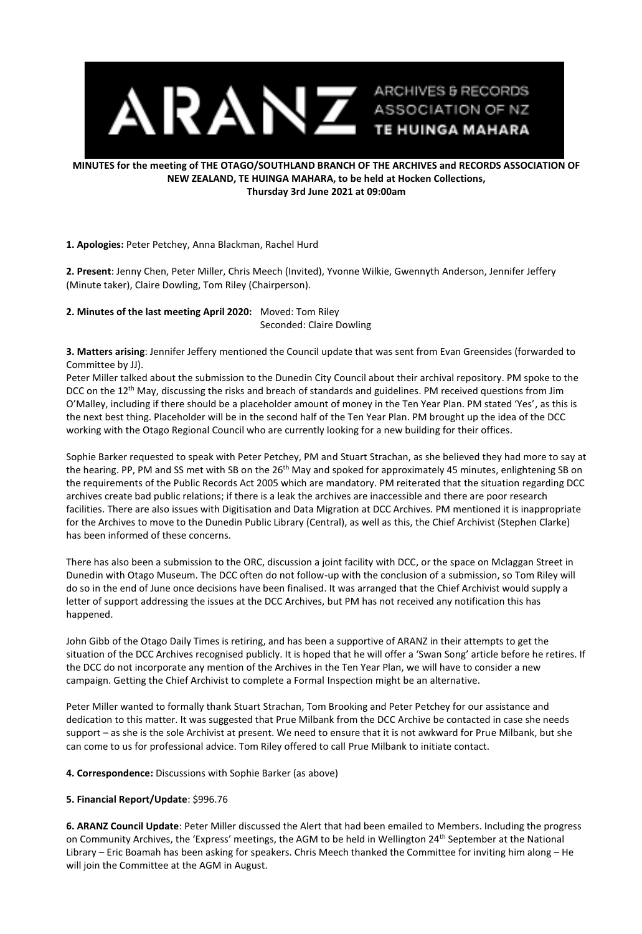

## **MINUTES for the meeting of THE OTAGO/SOUTHLAND BRANCH OF THE ARCHIVES and RECORDS ASSOCIATION OF NEW ZEALAND, TE HUINGA MAHARA, to be held at Hocken Collections, Thursday 3rd June 2021 at 09:00am**

## **1. Apologies:** Peter Petchey, Anna Blackman, Rachel Hurd

**2. Present**: Jenny Chen, Peter Miller, Chris Meech (Invited), Yvonne Wilkie, Gwennyth Anderson, Jennifer Jeffery (Minute taker), Claire Dowling, Tom Riley (Chairperson).

**2. Minutes of the last meeting April 2020:** Moved: Tom Riley

Seconded: Claire Dowling

**3. Matters arising**: Jennifer Jeffery mentioned the Council update that was sent from Evan Greensides (forwarded to Committee by JJ).

Peter Miller talked about the submission to the Dunedin City Council about their archival repository. PM spoke to the DCC on the 12<sup>th</sup> May, discussing the risks and breach of standards and guidelines. PM received questions from Jim O'Malley, including if there should be a placeholder amount of money in the Ten Year Plan. PM stated 'Yes', as this is the next best thing. Placeholder will be in the second half of the Ten Year Plan. PM brought up the idea of the DCC working with the Otago Regional Council who are currently looking for a new building for their offices.

Sophie Barker requested to speak with Peter Petchey, PM and Stuart Strachan, as she believed they had more to say at the hearing. PP, PM and SS met with SB on the 26<sup>th</sup> May and spoked for approximately 45 minutes, enlightening SB on the requirements of the Public Records Act 2005 which are mandatory. PM reiterated that the situation regarding DCC archives create bad public relations; if there is a leak the archives are inaccessible and there are poor research facilities. There are also issues with Digitisation and Data Migration at DCC Archives. PM mentioned it is inappropriate for the Archives to move to the Dunedin Public Library (Central), as well as this, the Chief Archivist (Stephen Clarke) has been informed of these concerns.

There has also been a submission to the ORC, discussion a joint facility with DCC, or the space on Mclaggan Street in Dunedin with Otago Museum. The DCC often do not follow-up with the conclusion of a submission, so Tom Riley will do so in the end of June once decisions have been finalised. It was arranged that the Chief Archivist would supply a letter of support addressing the issues at the DCC Archives, but PM has not received any notification this has happened.

John Gibb of the Otago Daily Times is retiring, and has been a supportive of ARANZ in their attempts to get the situation of the DCC Archives recognised publicly. It is hoped that he will offer a 'Swan Song' article before he retires. If the DCC do not incorporate any mention of the Archives in the Ten Year Plan, we will have to consider a new campaign. Getting the Chief Archivist to complete a Formal Inspection might be an alternative.

Peter Miller wanted to formally thank Stuart Strachan, Tom Brooking and Peter Petchey for our assistance and dedication to this matter. It was suggested that Prue Milbank from the DCC Archive be contacted in case she needs support – as she is the sole Archivist at present. We need to ensure that it is not awkward for Prue Milbank, but she can come to us for professional advice. Tom Riley offered to call Prue Milbank to initiate contact.

**4. Correspondence:** Discussions with Sophie Barker (as above)

## **5. Financial Report/Update**: \$996.76

**6. ARANZ Council Update**: Peter Miller discussed the Alert that had been emailed to Members. Including the progress on Community Archives, the 'Express' meetings, the AGM to be held in Wellington 24th September at the National Library – Eric Boamah has been asking for speakers. Chris Meech thanked the Committee for inviting him along – He will join the Committee at the AGM in August.